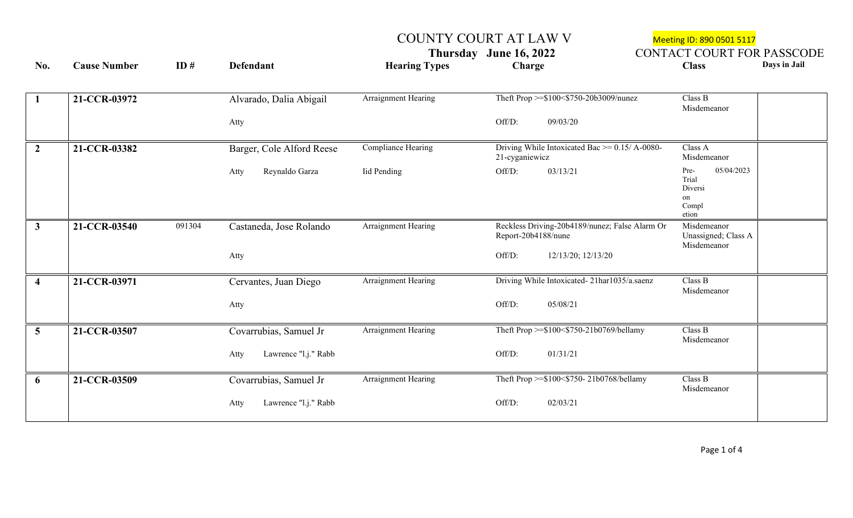COUNTY COURT AT LAW V<br>
Thursday June 16, 2022 CONTACT COURT FOR **CONTACT COURT FOR PASSCODE** 

| No.                     | <b>Cause Number</b> | ID#    | <b>Defendant</b>             | <b>Hearing Types</b>       | Charge                                                                | <b>Class</b>                                                   | Days in Jail |
|-------------------------|---------------------|--------|------------------------------|----------------------------|-----------------------------------------------------------------------|----------------------------------------------------------------|--------------|
|                         |                     |        |                              |                            |                                                                       |                                                                |              |
| 1                       | 21-CCR-03972        |        | Alvarado, Dalia Abigail      | Arraignment Hearing        | Theft Prop >=\$100<\$750-20b3009/nunez                                | Class B<br>Misdemeanor                                         |              |
|                         |                     |        | Atty                         |                            | Off/D:<br>09/03/20                                                    |                                                                |              |
| $\overline{2}$          | 21-CCR-03382        |        | Barger, Cole Alford Reese    | Compliance Hearing         | Driving While Intoxicated Bac $\ge$ = 0.15/ A-0080-<br>21-cyganiewicz | Class A<br>Misdemeanor                                         |              |
|                         |                     |        | Reynaldo Garza<br>Atty       | <b>Iid Pending</b>         | Off/D:<br>03/13/21                                                    | Pre-<br>05/04/2023<br>Trial<br>Diversi<br>on<br>Compl<br>etion |              |
| $\mathbf{3}$            | 21-CCR-03540        | 091304 | Castaneda, Jose Rolando      | Arraignment Hearing        | Reckless Driving-20b4189/nunez; False Alarm Or<br>Report-20b4188/nune | Misdemeanor<br>Unassigned; Class A<br>Misdemeanor              |              |
|                         |                     |        | Atty                         |                            | Off/D:<br>12/13/20; 12/13/20                                          |                                                                |              |
| $\overline{\mathbf{4}}$ | 21-CCR-03971        |        | Cervantes, Juan Diego        | Arraignment Hearing        | Driving While Intoxicated-21har1035/a.saenz                           | Class B<br>Misdemeanor                                         |              |
|                         |                     |        | Atty                         |                            | Off/D:<br>05/08/21                                                    |                                                                |              |
| $\overline{5}$          | 21-CCR-03507        |        | Covarrubias, Samuel Jr       | <b>Arraignment Hearing</b> | Theft Prop >= $$100<$750-21b0769/bellamy$                             | Class B<br>Misdemeanor                                         |              |
|                         |                     |        | Lawrence "l.j." Rabb<br>Atty |                            | Off/D:<br>01/31/21                                                    |                                                                |              |
| 6                       | 21-CCR-03509        |        | Covarrubias, Samuel Jr       | Arraignment Hearing        | Theft Prop >=\$100<\$750-21b0768/bellamy                              | Class B<br>Misdemeanor                                         |              |
|                         |                     |        | Lawrence "l.j." Rabb<br>Atty |                            | Off/D:<br>02/03/21                                                    |                                                                |              |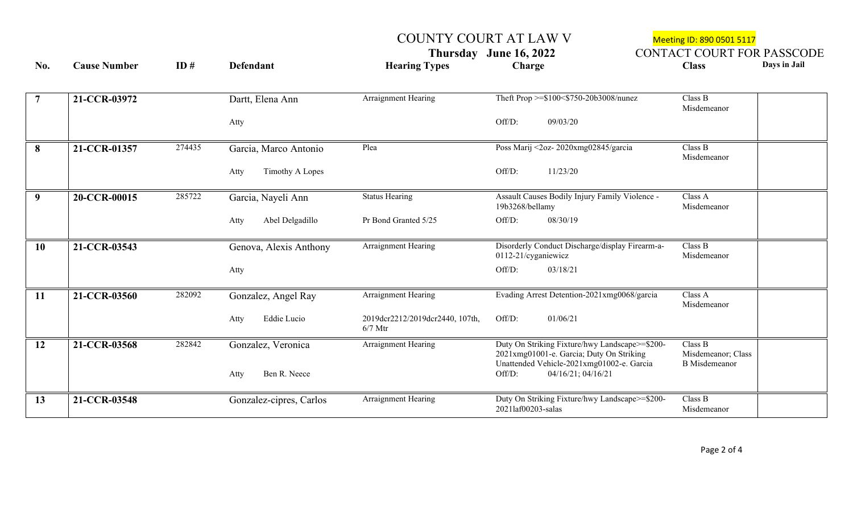COUNTY COURT AT LAW V<br>
Thursday June 16, 2022 CONTACT COURT FOR **CONTACT COURT FOR PASSCODE** 

| No.            | <b>Cause Number</b> | ID#    | <b>Defendant</b>                           | <b>Hearing Types</b>                         | Charge                                                                                                                                                                  | Days in Jail<br><b>Class</b>                          |  |
|----------------|---------------------|--------|--------------------------------------------|----------------------------------------------|-------------------------------------------------------------------------------------------------------------------------------------------------------------------------|-------------------------------------------------------|--|
| $\overline{7}$ | 21-CCR-03972        |        | Dartt, Elena Ann<br>Atty                   | Arraignment Hearing                          | Theft Prop >=\$100<\$750-20b3008/nunez<br>Off/D:<br>09/03/20                                                                                                            | Class B<br>Misdemeanor                                |  |
|                |                     |        |                                            |                                              |                                                                                                                                                                         |                                                       |  |
| 8              | 21-CCR-01357        | 274435 | Garcia, Marco Antonio                      | Plea                                         | Poss Marij <2oz-2020xmg02845/garcia                                                                                                                                     | Class B<br>Misdemeanor                                |  |
|                |                     |        | Timothy A Lopes<br>Atty                    |                                              | Off/D:<br>11/23/20                                                                                                                                                      |                                                       |  |
| 9              | 20-CCR-00015        | 285722 | Garcia, Nayeli Ann                         | <b>Status Hearing</b>                        | Assault Causes Bodily Injury Family Violence -<br>19b3268/bellamy                                                                                                       | Class A<br>Misdemeanor                                |  |
|                |                     |        | Abel Delgadillo<br>Atty                    | Pr Bond Granted 5/25                         | Off/D:<br>08/30/19                                                                                                                                                      |                                                       |  |
| <b>10</b>      | 21-CCR-03543        |        | Genova, Alexis Anthony                     | Arraignment Hearing                          | Disorderly Conduct Discharge/display Firearm-a-<br>0112-21/cyganiewicz                                                                                                  | Class B<br>Misdemeanor                                |  |
|                |                     |        | Atty                                       |                                              | Off/D:<br>03/18/21                                                                                                                                                      |                                                       |  |
| <b>11</b>      | 21-CCR-03560        | 282092 | Gonzalez, Angel Ray                        | Arraignment Hearing                          | Evading Arrest Detention-2021xmg0068/garcia                                                                                                                             | Class A<br>Misdemeanor                                |  |
|                |                     |        | Eddie Lucio<br>Atty                        | 2019dcr2212/2019dcr2440, 107th,<br>$6/7$ Mtr | Off/D:<br>01/06/21                                                                                                                                                      |                                                       |  |
| <b>12</b>      | 21-CCR-03568        | 282842 | Gonzalez, Veronica<br>Ben R. Neece<br>Atty | Arraignment Hearing                          | Duty On Striking Fixture/hwy Landscape>=\$200-<br>2021xmg01001-e. Garcia; Duty On Striking<br>Unattended Vehicle-2021xmg01002-e. Garcia<br>Off/D:<br>04/16/21; 04/16/21 | Class B<br>Misdemeanor; Class<br><b>B</b> Misdemeanor |  |
|                |                     |        |                                            |                                              |                                                                                                                                                                         |                                                       |  |
| 13             | 21-CCR-03548        |        | Gonzalez-cipres, Carlos                    | Arraignment Hearing                          | Duty On Striking Fixture/hwy Landscape>=\$200-<br>2021laf00203-salas                                                                                                    | Class B<br>Misdemeanor                                |  |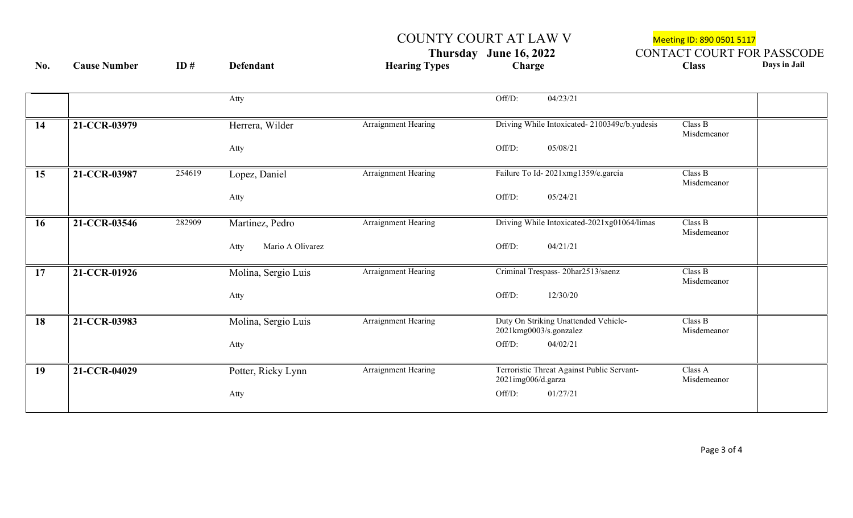COUNTY COURT AT LAW V<br>
Thursday June 16, 2022 CONTACT COURT FOR **Thursday June 16, 2022 CONTACT COURT FOR PASSCODE**<br> **CONTACT COURT FOR PASSCODE**<br> **Class Class No. Cause Number ID # Defendant Hearing Types Charge Class Days in Jail**

|           |                        | Atty                     |                     | Off/D:<br>04/23/21                                               |                                              |                        |
|-----------|------------------------|--------------------------|---------------------|------------------------------------------------------------------|----------------------------------------------|------------------------|
| 14        | 21-CCR-03979           | Herrera, Wilder          | Arraignment Hearing |                                                                  | Driving While Intoxicated-2100349c/b.yudesis | Class B<br>Misdemeanor |
|           |                        | Atty                     |                     | 05/08/21<br>Off/D:                                               |                                              |                        |
| 15        | 254619<br>21-CCR-03987 | Lopez, Daniel            | Arraignment Hearing | Failure To Id-2021xmg1359/e.garcia                               |                                              | Class B<br>Misdemeanor |
|           |                        | Atty                     |                     | Off/D:<br>05/24/21                                               |                                              |                        |
| <b>16</b> | 282909<br>21-CCR-03546 | Martinez, Pedro          | Arraignment Hearing |                                                                  | Driving While Intoxicated-2021xg01064/limas  | Class B<br>Misdemeanor |
|           |                        | Mario A Olivarez<br>Atty |                     | 04/21/21<br>Off/D:                                               |                                              |                        |
| 17        | 21-CCR-01926           | Molina, Sergio Luis      | Arraignment Hearing | Criminal Trespass-20har2513/saenz                                |                                              | Class B<br>Misdemeanor |
|           |                        | Atty                     |                     | Off/D:<br>12/30/20                                               |                                              |                        |
| <b>18</b> | 21-CCR-03983           | Molina, Sergio Luis      | Arraignment Hearing | Duty On Striking Unattended Vehicle-<br>2021kmg0003/s.gonzalez   |                                              | Class B<br>Misdemeanor |
|           |                        | Atty                     |                     | Off/D:<br>04/02/21                                               |                                              |                        |
| 19        | 21-CCR-04029           | Potter, Ricky Lynn       | Arraignment Hearing | Terroristic Threat Against Public Servant-<br>2021img006/d.garza |                                              | Class A<br>Misdemeanor |
|           |                        | Atty                     |                     | Off/D:<br>01/27/21                                               |                                              |                        |